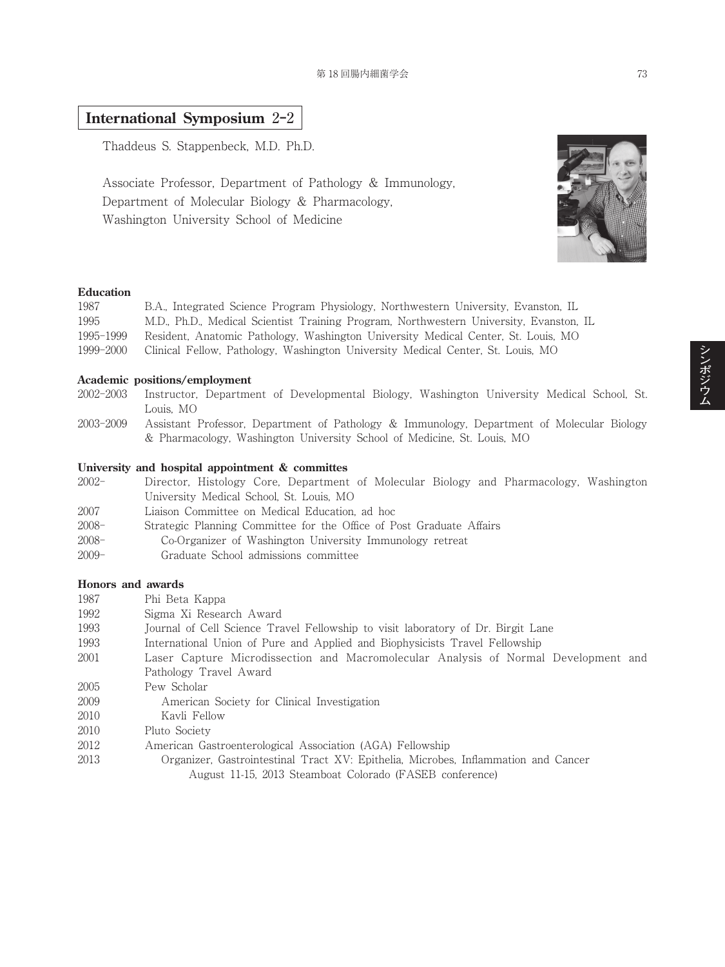# **International Symposium** 2**‒**2

Thaddeus S. Stappenbeck, M.D. Ph.D.

Associate Professor, Department of Pathology & Immunology, Department of Molecular Biology & Pharmacology, Washington University School of Medicine



| 1987      | B.A., Integrated Science Program Physiology, Northwestern University, Evanston, IL     |
|-----------|----------------------------------------------------------------------------------------|
| 1995      | M.D., Ph.D., Medical Scientist Training Program, Northwestern University, Evanston, IL |
| 1995-1999 | Resident, Anatomic Pathology, Washington University Medical Center, St. Louis, MO      |
| 1999-2000 | Clinical Fellow, Pathology, Washington University Medical Center, St. Louis, MO        |

#### **Academic positions/employment**

- 2002-2003 Instructor, Department of Developmental Biology, Washington University Medical School, St. Louis, MO
- 2003-2009 Assistant Professor, Department of Pathology & Immunology, Department of Molecular Biology & Pharmacology, Washington University School of Medicine, St. Louis, MO

#### **University and hospital appointment & committes**

- 2002- Director, Histology Core, Department of Molecular Biology and Pharmacology, Washington University Medical School, St. Louis, MO 2007 Liaison Committee on Medical Education, ad hoc 2008- Strategic Planning Committee for the Office of Post Graduate Affairs 2008- Co-Organizer of Washington University Immunology retreat
- 2009- Graduate School admissions committee

### **Honors and awards**

| 1987 | Phi Beta Kappa                                                                                                                                 |
|------|------------------------------------------------------------------------------------------------------------------------------------------------|
| 1992 | Sigma Xi Research Award                                                                                                                        |
| 1993 | Journal of Cell Science Travel Fellowship to visit laboratory of Dr. Birgit Lane                                                               |
| 1993 | International Union of Pure and Applied and Biophysicists Travel Fellowship                                                                    |
| 2001 | Laser Capture Microdissection and Macromolecular Analysis of Normal Development and                                                            |
|      | Pathology Travel Award                                                                                                                         |
| 2005 | Pew Scholar                                                                                                                                    |
| 2009 | American Society for Clinical Investigation                                                                                                    |
| 2010 | Kavli Fellow                                                                                                                                   |
| 2010 | Pluto Society                                                                                                                                  |
| 2012 | American Gastroenterological Association (AGA) Fellowship                                                                                      |
| 2013 | Organizer, Gastrointestinal Tract XV: Epithelia, Microbes, Inflammation and Cancer<br>August 11-15, 2013 Steamboat Colorado (FASEB conference) |